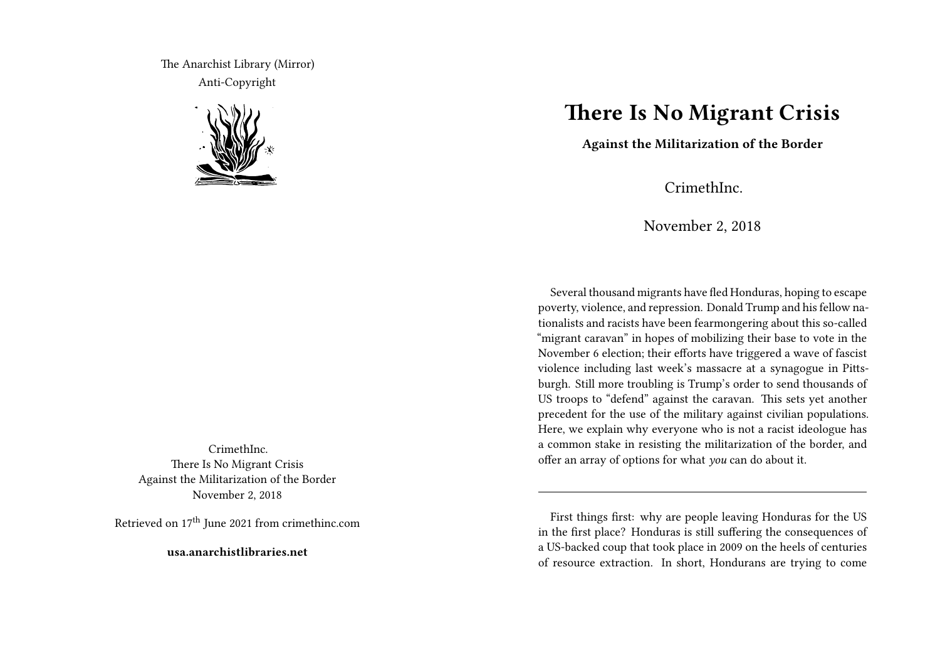The Anarchist Library (Mirror) Anti-Copyright



CrimethInc. There Is No Migrant Crisis Against the Militarization of the Border November 2, 2018

Retrieved on 17<sup>th</sup> June 2021 from crimethinc.com

**usa.anarchistlibraries.net**

## **There Is No Migrant Crisis**

**Against the Militarization of the Border**

CrimethInc.

November 2, 2018

Several thousand migrants have fled Honduras, hoping to escape poverty, violence, and repression. Donald Trump and his fellow nationalists and racists have been fearmongering about this so-called "migrant caravan" in hopes of mobilizing their base to vote in the November 6 election; their efforts have triggered a wave of fascist violence including last week's massacre at a synagogue in Pittsburgh. Still more troubling is Trump's order to send thousands of US troops to "defend" against the caravan. This sets yet another precedent for the use of the military against civilian populations. Here, we explain why everyone who is not a racist ideologue has a common stake in resisting the militarization of the border, and offer an array of options for what *you* can do about it.

First things first: why are people leaving Honduras for the US in the first place? Honduras is still suffering the consequences of a US-backed coup that took place in 2009 on the heels of centuries of resource extraction. In short, Hondurans are trying to come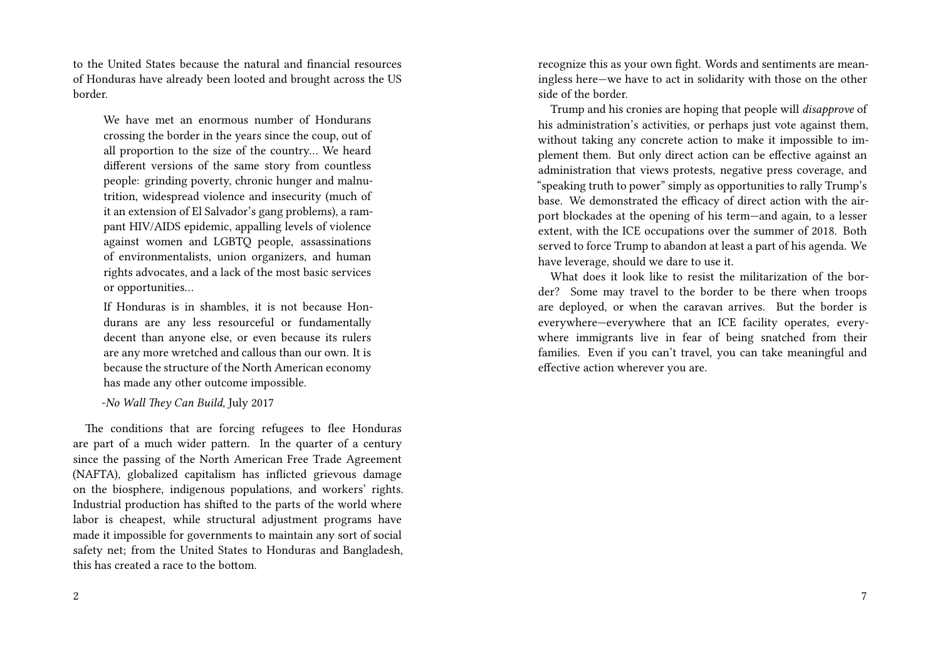to the United States because the natural and financial resources of Honduras have already been looted and brought across the US border.

We have met an enormous number of Hondurans crossing the border in the years since the coup, out of all proportion to the size of the country… We heard different versions of the same story from countless people: grinding poverty, chronic hunger and malnutrition, widespread violence and insecurity (much of it an extension of El Salvador's gang problems), a rampant HIV/AIDS epidemic, appalling levels of violence against women and LGBTQ people, assassinations of environmentalists, union organizers, and human rights advocates, and a lack of the most basic services or opportunities…

If Honduras is in shambles, it is not because Hondurans are any less resourceful or fundamentally decent than anyone else, or even because its rulers are any more wretched and callous than our own. It is because the structure of the North American economy has made any other outcome impossible.

-*No Wall They Can Build,* July 2017

The conditions that are forcing refugees to flee Honduras are part of a much wider pattern. In the quarter of a century since the passing of the North American Free Trade Agreement (NAFTA), globalized capitalism has inflicted grievous damage on the biosphere, indigenous populations, and workers' rights. Industrial production has shifted to the parts of the world where labor is cheapest, while structural adjustment programs have made it impossible for governments to maintain any sort of social safety net; from the United States to Honduras and Bangladesh, this has created a race to the bottom.

recognize this as your own fight. Words and sentiments are meaningless here—we have to act in solidarity with those on the other side of the border.

Trump and his cronies are hoping that people will *disapprove* of his administration's activities, or perhaps just vote against them, without taking any concrete action to make it impossible to implement them. But only direct action can be effective against an administration that views protests, negative press coverage, and "speaking truth to power" simply as opportunities to rally Trump's base. We demonstrated the efficacy of direct action with the airport blockades at the opening of his term—and again, to a lesser extent, with the ICE occupations over the summer of 2018. Both served to force Trump to abandon at least a part of his agenda. We have leverage, should we dare to use it.

What does it look like to resist the militarization of the border? Some may travel to the border to be there when troops are deployed, or when the caravan arrives. But the border is everywhere—everywhere that an ICE facility operates, everywhere immigrants live in fear of being snatched from their families. Even if you can't travel, you can take meaningful and effective action wherever you are.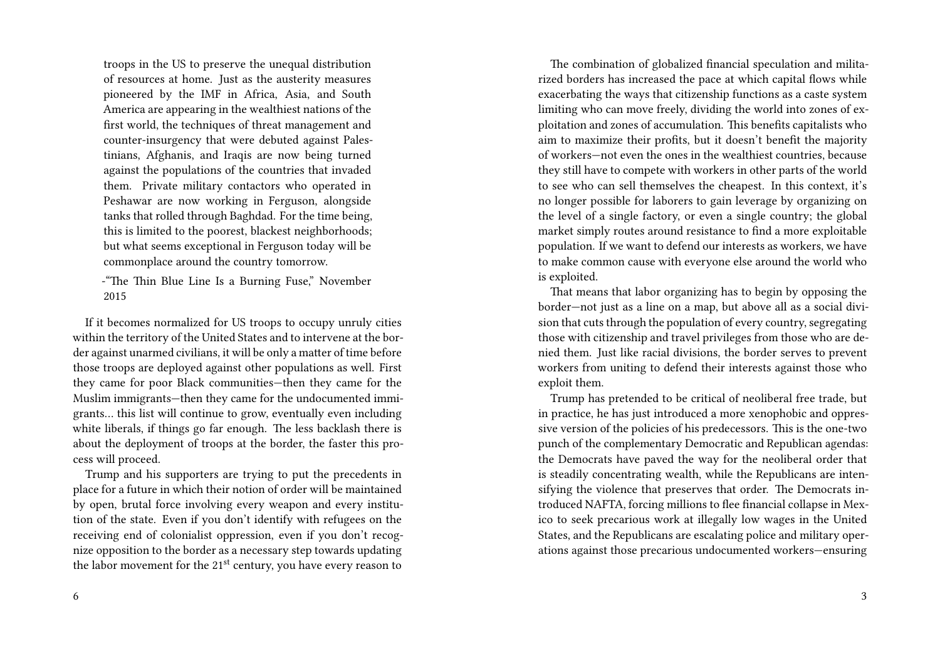troops in the US to preserve the unequal distribution of resources at home. Just as the austerity measures pioneered by the IMF in Africa, Asia, and South America are appearing in the wealthiest nations of the first world, the techniques of threat management and counter-insurgency that were debuted against Palestinians, Afghanis, and Iraqis are now being turned against the populations of the countries that invaded them. Private military contactors who operated in Peshawar are now working in Ferguson, alongside tanks that rolled through Baghdad. For the time being, this is limited to the poorest, blackest neighborhoods; but what seems exceptional in Ferguson today will be commonplace around the country tomorrow.

-"The Thin Blue Line Is a Burning Fuse," November 2015

If it becomes normalized for US troops to occupy unruly cities within the territory of the United States and to intervene at the border against unarmed civilians, it will be only a matter of time before those troops are deployed against other populations as well. First they came for poor Black communities—then they came for the Muslim immigrants—then they came for the undocumented immigrants… this list will continue to grow, eventually even including white liberals, if things go far enough. The less backlash there is about the deployment of troops at the border, the faster this process will proceed.

Trump and his supporters are trying to put the precedents in place for a future in which their notion of order will be maintained by open, brutal force involving every weapon and every institution of the state. Even if you don't identify with refugees on the receiving end of colonialist oppression, even if you don't recognize opposition to the border as a necessary step towards updating the labor movement for the 21<sup>st</sup> century, you have every reason to

The combination of globalized financial speculation and militarized borders has increased the pace at which capital flows while exacerbating the ways that citizenship functions as a caste system limiting who can move freely, dividing the world into zones of exploitation and zones of accumulation. This benefits capitalists who aim to maximize their profits, but it doesn't benefit the majority of workers—not even the ones in the wealthiest countries, because they still have to compete with workers in other parts of the world to see who can sell themselves the cheapest. In this context, it's no longer possible for laborers to gain leverage by organizing on the level of a single factory, or even a single country; the global market simply routes around resistance to find a more exploitable population. If we want to defend our interests as workers, we have to make common cause with everyone else around the world who is exploited.

That means that labor organizing has to begin by opposing the border—not just as a line on a map, but above all as a social division that cuts through the population of every country, segregating those with citizenship and travel privileges from those who are denied them. Just like racial divisions, the border serves to prevent workers from uniting to defend their interests against those who exploit them.

Trump has pretended to be critical of neoliberal free trade, but in practice, he has just introduced a more xenophobic and oppressive version of the policies of his predecessors. This is the one-two punch of the complementary Democratic and Republican agendas: the Democrats have paved the way for the neoliberal order that is steadily concentrating wealth, while the Republicans are intensifying the violence that preserves that order. The Democrats introduced NAFTA, forcing millions to flee financial collapse in Mexico to seek precarious work at illegally low wages in the United States, and the Republicans are escalating police and military operations against those precarious undocumented workers—ensuring